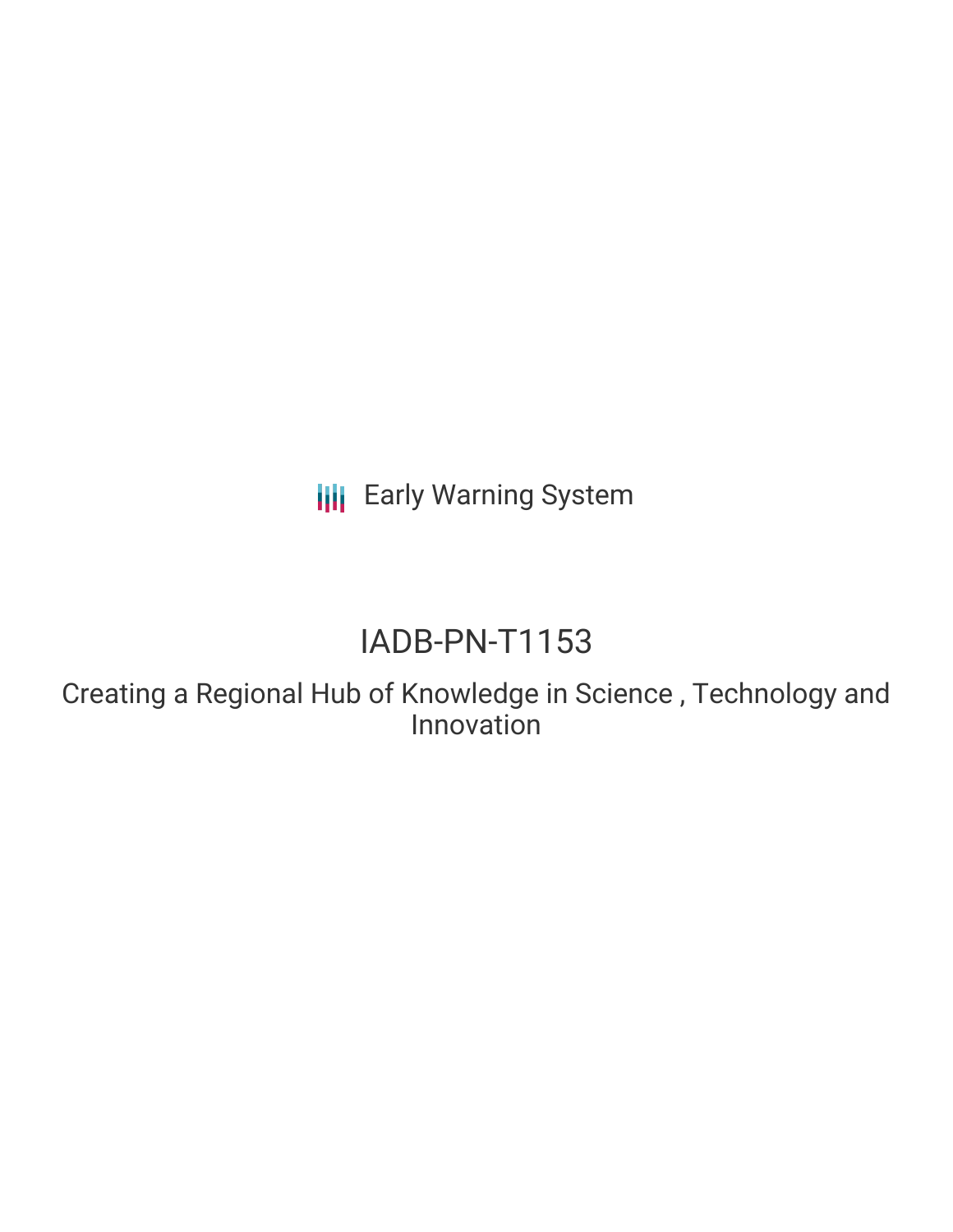**III** Early Warning System

# IADB-PN-T1153

Creating a Regional Hub of Knowledge in Science , Technology and Innovation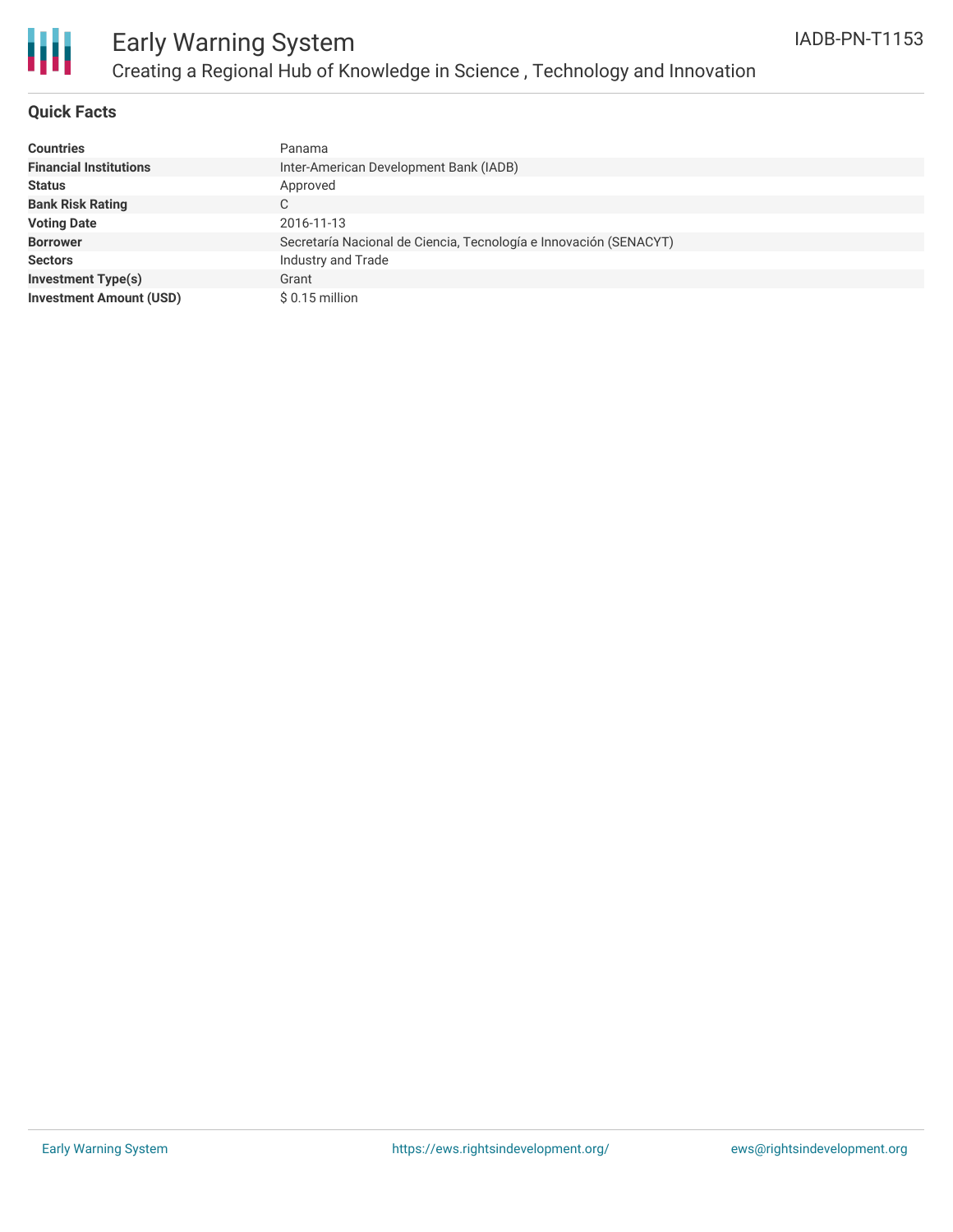

# Early Warning System Creating a Regional Hub of Knowledge in Science , Technology and Innovation

### **Quick Facts**

| <b>Countries</b>               | Panama                                                            |
|--------------------------------|-------------------------------------------------------------------|
| <b>Financial Institutions</b>  | Inter-American Development Bank (IADB)                            |
| <b>Status</b>                  | Approved                                                          |
| <b>Bank Risk Rating</b>        | C                                                                 |
| <b>Voting Date</b>             | 2016-11-13                                                        |
| <b>Borrower</b>                | Secretaría Nacional de Ciencia, Tecnología e Innovación (SENACYT) |
| <b>Sectors</b>                 | Industry and Trade                                                |
| <b>Investment Type(s)</b>      | Grant                                                             |
| <b>Investment Amount (USD)</b> | $$0.15$ million                                                   |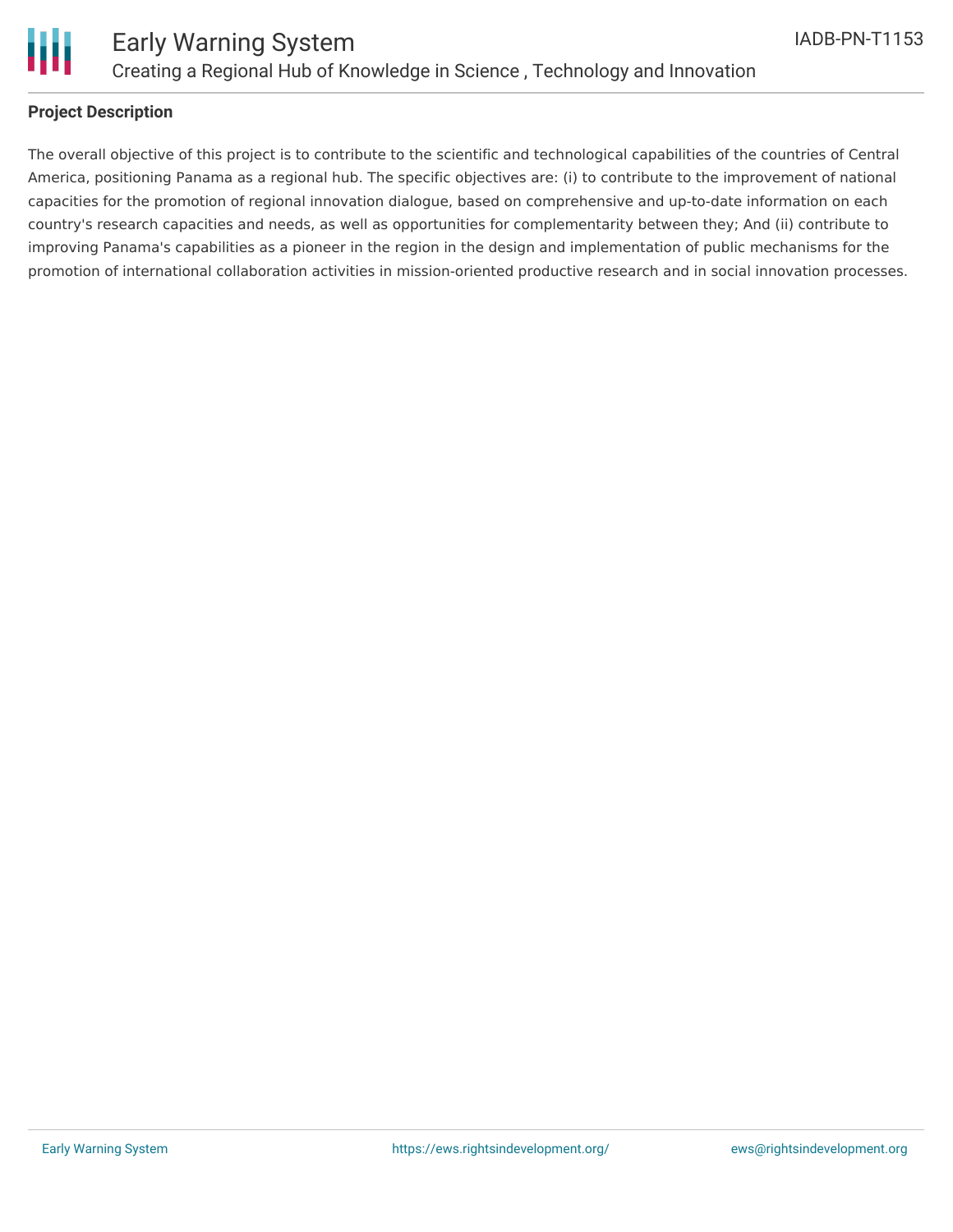

### **Project Description**

The overall objective of this project is to contribute to the scientific and technological capabilities of the countries of Central America, positioning Panama as a regional hub. The specific objectives are: (i) to contribute to the improvement of national capacities for the promotion of regional innovation dialogue, based on comprehensive and up-to-date information on each country's research capacities and needs, as well as opportunities for complementarity between they; And (ii) contribute to improving Panama's capabilities as a pioneer in the region in the design and implementation of public mechanisms for the promotion of international collaboration activities in mission-oriented productive research and in social innovation processes.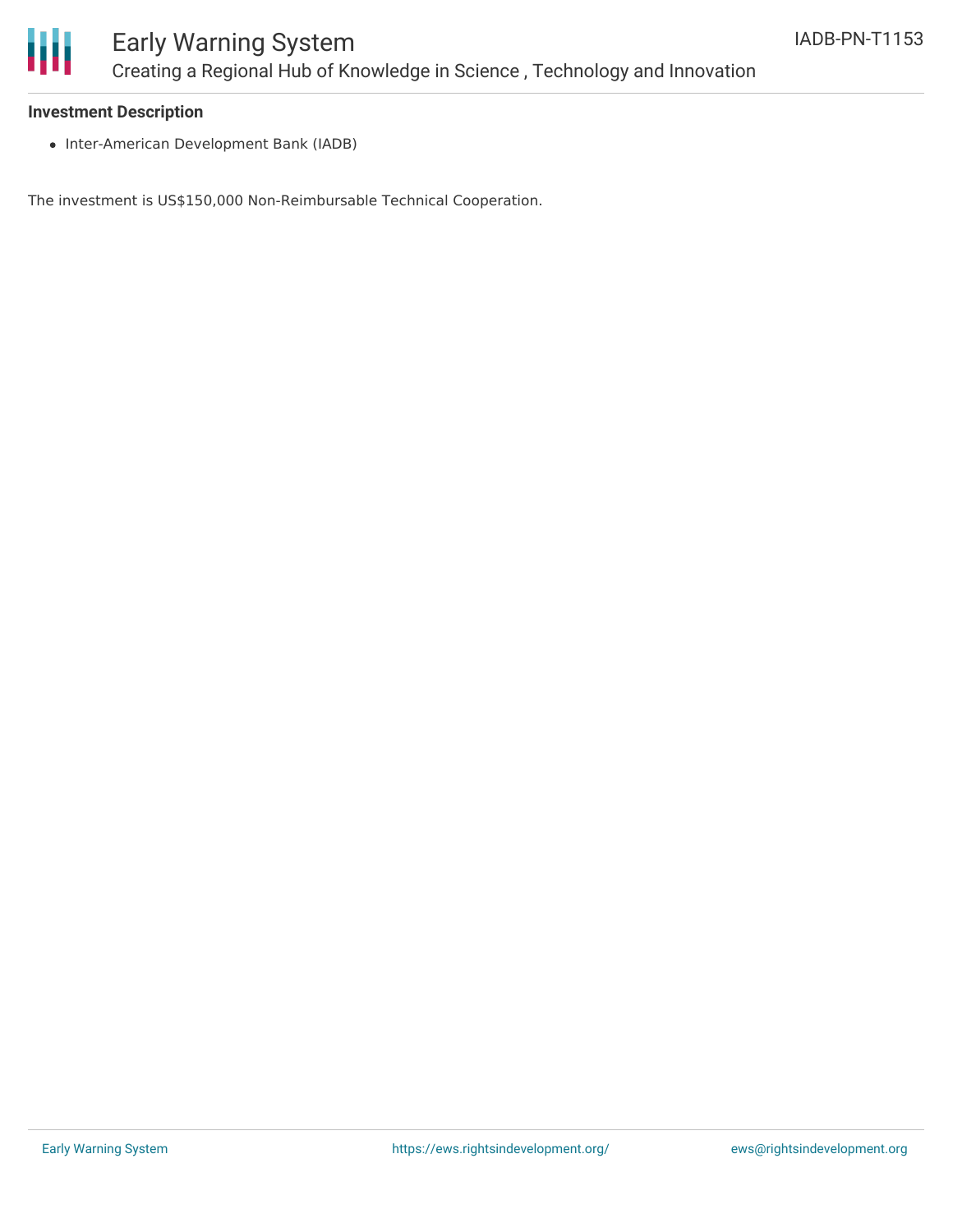

### Early Warning System Creating a Regional Hub of Knowledge in Science , Technology and Innovation

#### **Investment Description**

• Inter-American Development Bank (IADB)

The investment is US\$150,000 Non-Reimbursable Technical Cooperation.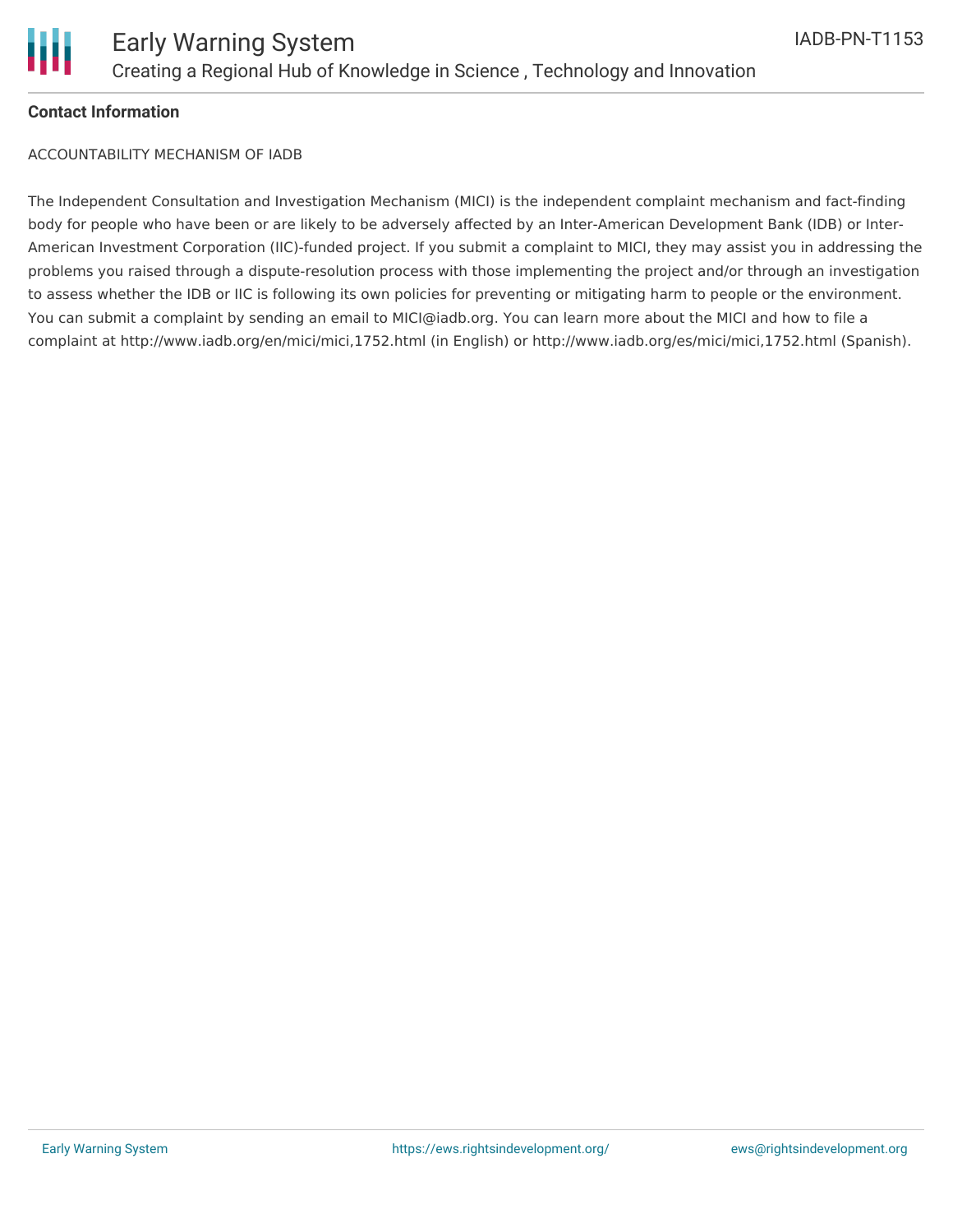

### **Contact Information**

ACCOUNTABILITY MECHANISM OF IADB

The Independent Consultation and Investigation Mechanism (MICI) is the independent complaint mechanism and fact-finding body for people who have been or are likely to be adversely affected by an Inter-American Development Bank (IDB) or Inter-American Investment Corporation (IIC)-funded project. If you submit a complaint to MICI, they may assist you in addressing the problems you raised through a dispute-resolution process with those implementing the project and/or through an investigation to assess whether the IDB or IIC is following its own policies for preventing or mitigating harm to people or the environment. You can submit a complaint by sending an email to MICI@iadb.org. You can learn more about the MICI and how to file a complaint at http://www.iadb.org/en/mici/mici,1752.html (in English) or http://www.iadb.org/es/mici/mici,1752.html (Spanish).